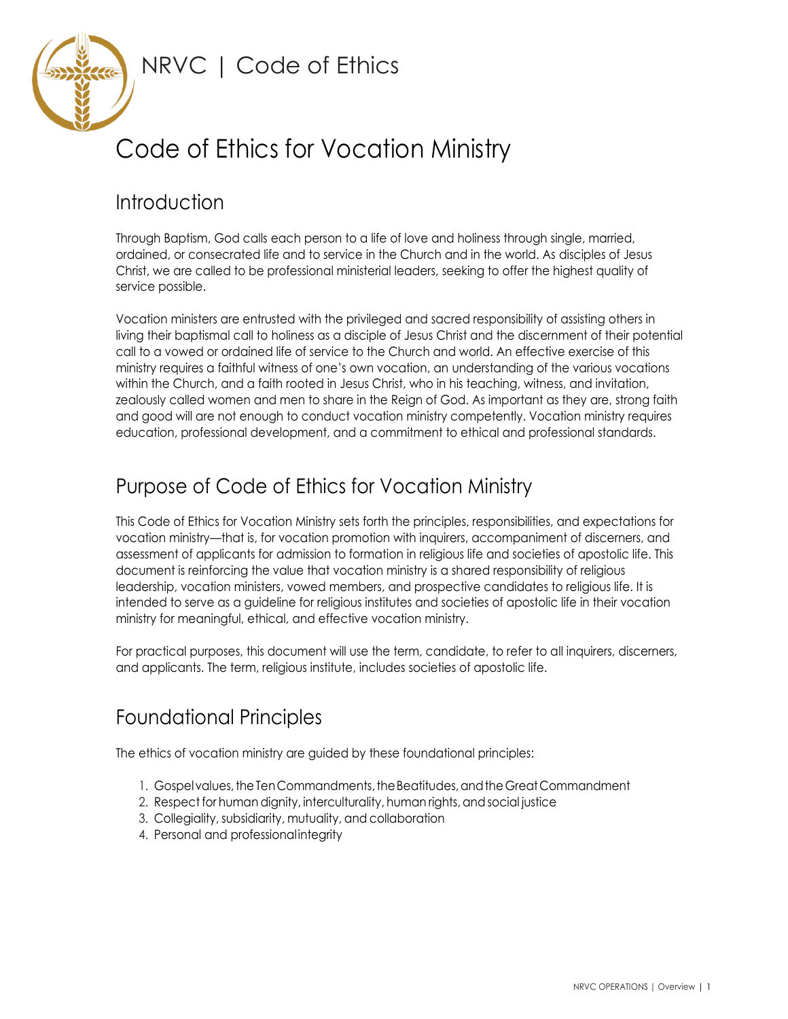

# Code of Ethics for Vocation Ministry

# Introduction

Through Baptism, God calls each person to a life of love and holiness through single, married, ordained, or consecrated life and to service in the Church and in the world. As disciples of Jesus Christ, we are called to be professional ministerial leaders, seeking to offer the highest quality of service possible.

Vocation ministers are entrusted with the privileged and sacred responsibility of assisting others in living their baptismal call to holiness as a disciple of Jesus Christ and the discernment of their potential call to a vowed or ordained life of service to the Church and world. An effective exercise of this ministry requires a faithful witness of one's own vocation, an understanding of the various vocations within the Church, and a faith rooted in Jesus Christ, who in his teaching, witness, and invitation, zealously called women and men to share in the Reign of God. As important as they are, strong faith and good will are not enough to conduct vocation ministry competently. Vocation ministry requires education, professional development, and a commitment to ethical and professional standards.

# Purpose of Code of Ethics for Vocation Ministry

This Code of Ethics for Vocation Ministry sets forth the principles, responsibilities, and expectations for vocation ministry—that is, for vocation promotion with inquirers, accompaniment of discerners, and assessment of applicants for admission to formation in religious life and societies of apostolic life. This document is reinforcing the value that vocation ministry is a shared responsibility of religious leadership, vocation ministers, vowed members, and prospective candidates to religious life. It is intended to serve as a guideline for religious institutes and societies of apostolic life in their vocation ministry for meaningful, ethical, and effective vocation ministry.

For practical purposes, this document will use the term, candidate, to refer to all inquirers, discerners, and applicants. The term, religious institute, includes societies of apostolic life.

# Foundational Principles

The ethics of vocation ministry are guided by these foundational principles:

- 1. Gospel values, the Ten Commandments, the Beatitudes, and the Great Commandment
- 2. Respect for human dignity, interculturality, human rights, and social justice
- 3. Collegiality, subsidiarity, mutuality, and collaboration
- 4. Personal and professional integrity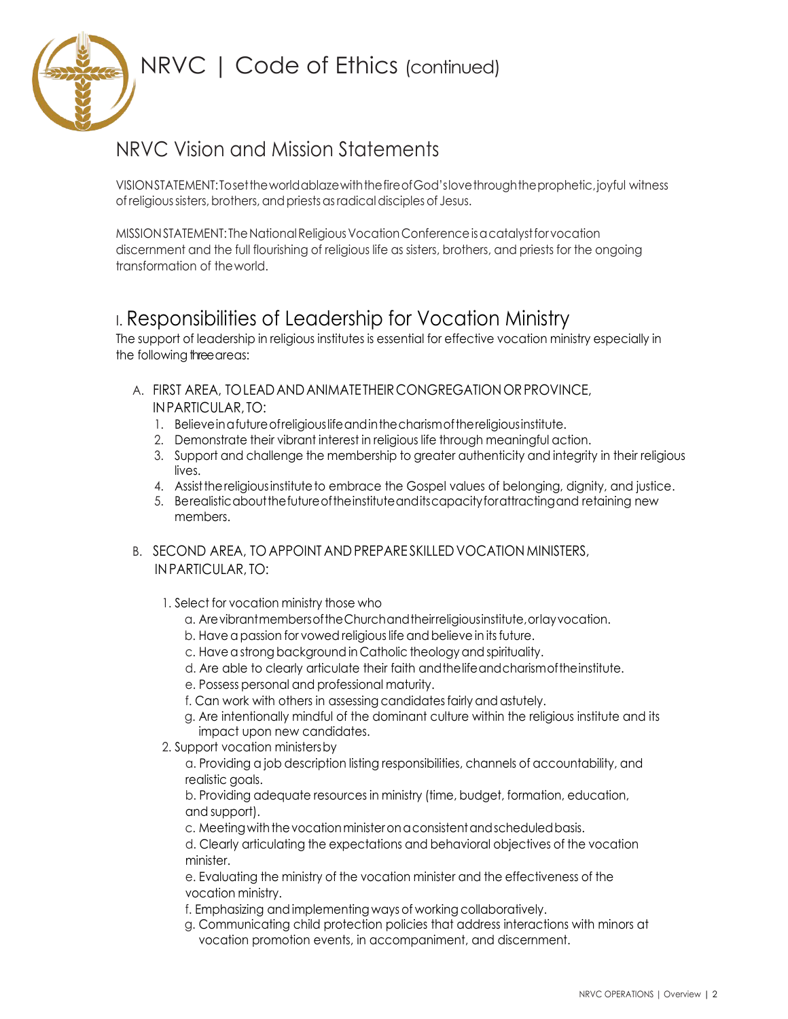# NRVC Vision and Mission Statements

VISIONSTATEMENT:TosettheworldablazewiththefireofGod'slovethroughtheprophetic,joyful witness ofreligioussisters,brothers, andpriestsasradicaldisciples of Jesus.

MISSION STATEMENT: The National Religious Vocation Conference is a catalyst for vocation discernment and the full flourishing of religious life as sisters, brothers, and priests for the ongoing transformation of theworld.

# I. Responsibilities of Leadership for Vocation Ministry

The support of leadership in religious institutes is essential for effective vocation ministry especially in the following three areas:

- A. FIRST AREA, TOLEADANDANIMATETHEIRCONGREGATIONORPROVINCE, INPARTICULAR, TO:
	- 1. Believeinafutureofreligiouslifeandinthecharismofthereligiousinstitute.
	- 2. Demonstrate their vibrant interest in religious life through meaningful action.
	- 3. Support and challenge the membership to greater authenticity and integrity in their religious lives.
	- 4. Assist the religious institute to embrace the Gospel values of belonging, dignity, and justice.
	- 5. Berealisticaboutthefutureoftheinstituteanditscapacityforattractingand retaining new members.
- B. SECOND AREA, TO APPOINT AND PREPARE SKILLED VOCATION MINISTERS, IN PARTICULAR, TO:
	- 1. Select for vocation ministry those who
		- a. ArevibrantmembersoftheChurchandtheirreligiousinstitute,orlayvocation.
		- b. Have a passion for vowed religious life and believe in its future.
		- c. Have a strong background in Catholic theology and spirituality.
		- d. Are able to clearly articulate their faith andthelifeandcharismoftheinstitute.
		- e. Possess personal and professional maturity.
		- f. Can work with others in assessing candidatesfairly and astutely.
		- g. Are intentionally mindful of the dominant culture within the religious institute and its impact upon new candidates.
	- 2. Support vocation ministersby

a. Providing a job description listing responsibilities, channels of accountability, and realistic goals.

b. Providing adequate resources in ministry (time, budget, formation, education, and support).

c. Meeting with the vocation minister on a consistent and scheduled basis.

d. Clearly articulating the expectations and behavioral objectives of the vocation minister.

e. Evaluating the ministry of the vocation minister and the effectiveness of the vocation ministry.

f. Emphasizing and implementing ways of working collaboratively.

g. Communicating child protection policies that address interactions with minors at vocation promotion events, in accompaniment, and discernment.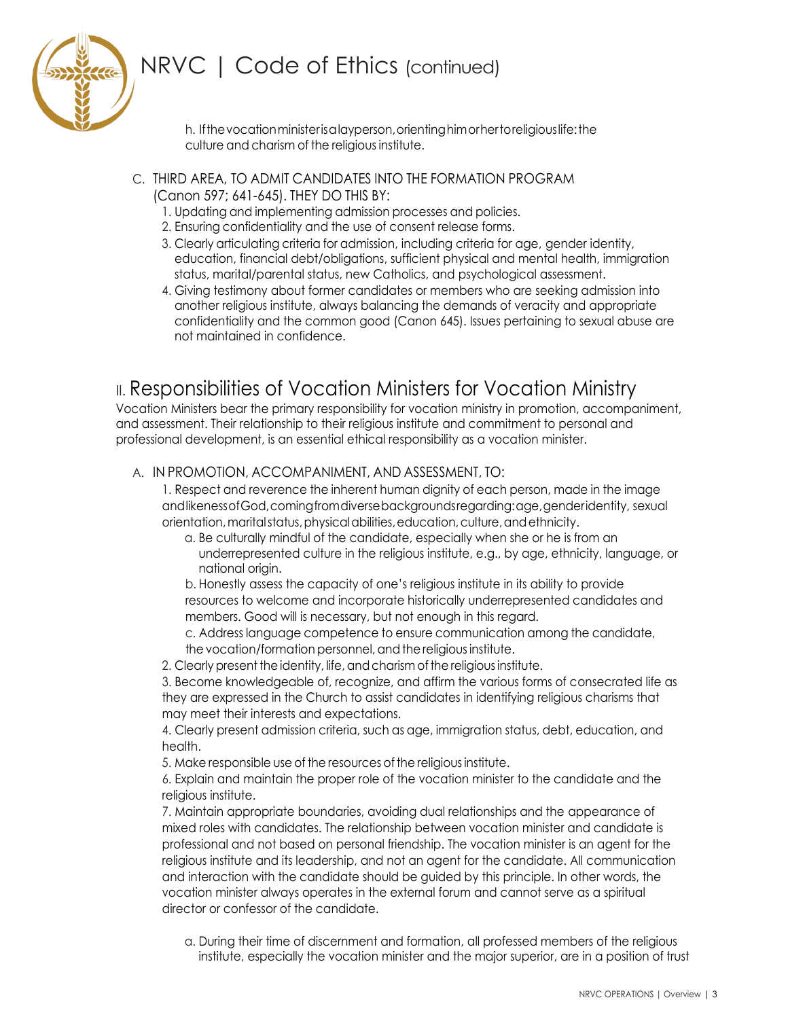

h. Ifthevocationministerisalayperson,orientinghimorhertoreligiouslife:the culture and charism of the religious institute.

- C. THIRD AREA, TO ADMIT CANDIDATES INTO THE FORMATION PROGRAM (Canon 597; 641-645). THEY DO THIS BY:
	- 1. Updating and implementing admission processes and policies.
	- 2. Ensuring confidentiality and the use of consent release forms.
	- 3. Clearly articulating criteria for admission, including criteria for age, gender identity, education, financial debt/obligations, sufficient physical and mental health, immigration status, marital/parental status, new Catholics, and psychological assessment.
	- 4. Giving testimony about former candidates or members who are seeking admission into another religious institute, always balancing the demands of veracity and appropriate confidentiality and the common good (Canon 645). Issues pertaining to sexual abuse are not maintained in confidence.

### **II. Responsibilities of Vocation Ministers for Vocation Ministry**

Vocation Ministers bear the primary responsibility for vocation ministry in promotion, accompaniment, and assessment. Their relationship to their religious institute and commitment to personal and professional development, is an essential ethical responsibility as a vocation minister.

#### A. IN PROMOTION, ACCOMPANIMENT, AND ASSESSMENT, TO:

1. Respect and reverence the inherent human dignity of each person, made in the image andlikenessofGod,comingfromdiversebackgroundsregarding:age,genderidentity, sexual orientation, marital status, physical abilities, education, culture, and ethnicity.

a. Be culturally mindful of the candidate, especially when she or he is from an underrepresented culture in the religious institute, e.g., by age, ethnicity, language, or national origin.

b. Honestly assess the capacity of one's religious institute in its ability to provide resources to welcome and incorporate historically underrepresented candidates and members. Good will is necessary, but not enough in this regard.

c. Address language competence to ensure communication among the candidate, the vocation/formation personnel, and the religious institute.

2. Clearly present the identity, life, and charism of the religious institute.

3. Become knowledgeable of, recognize, and affirm the various forms of consecrated life as they are expressed in the Church to assist candidates in identifying religious charisms that may meet their interests and expectations.

4. Clearly present admission criteria, such as age, immigration status, debt, education, and health.

5. Make responsible use of the resources of the religious institute.

6. Explain and maintain the proper role of the vocation minister to the candidate and the religious institute.

7. Maintain appropriate boundaries, avoiding dual relationships and the appearance of mixed roles with candidates. The relationship between vocation minister and candidate is professional and not based on personal friendship. The vocation minister is an agent for the religious institute and its leadership, and not an agent for the candidate. All communication and interaction with the candidate should be guided by this principle. In other words, the vocation minister always operates in the external forum and cannot serve as a spiritual director or confessor of the candidate.

a. During their time of discernment and formation, all professed members of the religious institute, especially the vocation minister and the major superior, are in a position of trust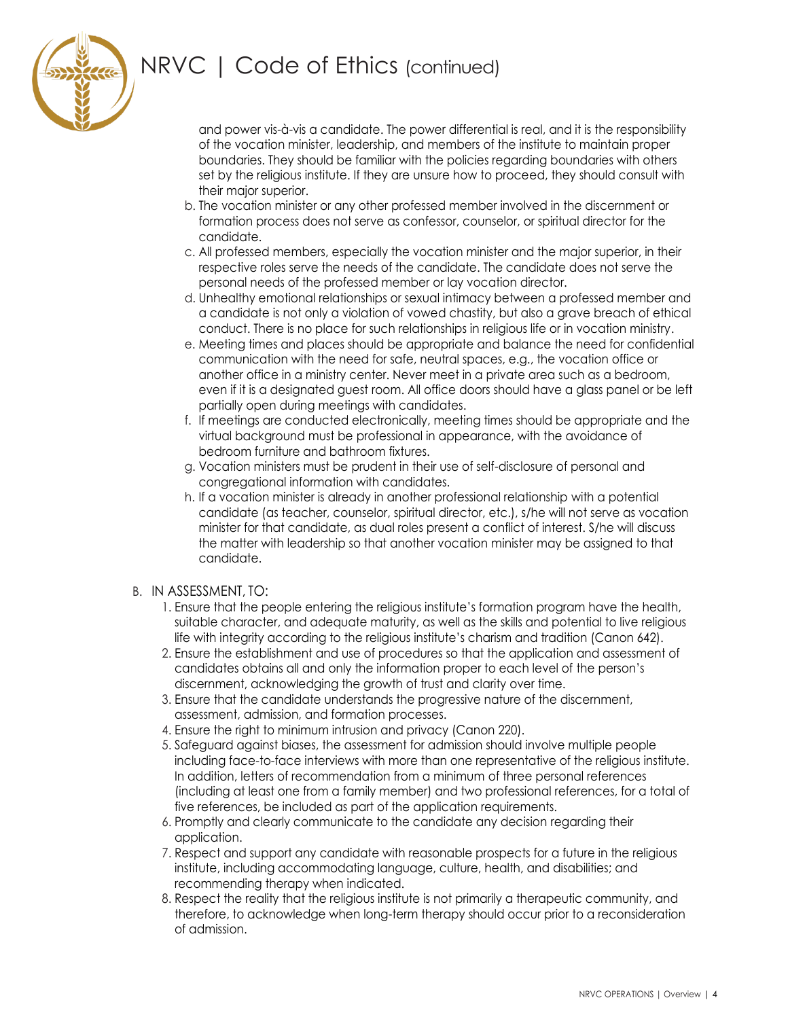

and power vis-à-vis a candidate. The power differential is real, and it is the responsibility of the vocation minister, leadership, and members of the institute to maintain proper boundaries. They should be familiar with the policies regarding boundaries with others set by the religious institute. If they are unsure how to proceed, they should consult with their major superior.

- b. The vocation minister or any other professed member involved in the discernment or formation process does not serve as confessor, counselor, or spiritual director for the candidate.
- c. All professed members, especially the vocation minister and the major superior, in their respective roles serve the needs of the candidate. The candidate does not serve the personal needs of the professed member or lay vocation director.
- d. Unhealthy emotional relationships or sexual intimacy between a professed member and a candidate is not only a violation of vowed chastity, but also a grave breach of ethical conduct. There is no place for such relationships in religious life or in vocation ministry.
- e. Meeting times and places should be appropriate and balance the need for confidential communication with the need for safe, neutral spaces, e.g., the vocation office or another office in a ministry center. Never meet in a private area such as a bedroom, even if it is a designated guest room. All office doors should have a glass panel or be left partially open during meetings with candidates.
- f. If meetings are conducted electronically, meeting times should be appropriate and the virtual background must be professional in appearance, with the avoidance of bedroom furniture and bathroom fixtures.
- g. Vocation ministers must be prudent in their use of self-disclosure of personal and congregational information with candidates.
- h. If a vocation minister is already in another professional relationship with a potential candidate (as teacher, counselor, spiritual director, etc.), s/he will not serve as vocation minister for that candidate, as dual roles present a conflict of interest. S/he will discuss the matter with leadership so that another vocation minister may be assigned to that candidate.
- B. IN ASSESSMENT, TO:
	- 1. Ensure that the people entering the religious institute's formation program have the health, suitable character, and adequate maturity, as well as the skills and potential to live religious life with integrity according to the religious institute's charism and tradition (Canon 642).
	- 2. Ensure the establishment and use of procedures so that the application and assessment of candidates obtains all and only the information proper to each level of the person's discernment, acknowledging the growth of trust and clarity over time.
	- 3. Ensure that the candidate understands the progressive nature of the discernment, assessment, admission, and formation processes.
	- 4. Ensure the right to minimum intrusion and privacy (Canon 220).
	- 5. Safeguard against biases, the assessment for admission should involve multiple people including face-to-face interviews with more than one representative of the religious institute. In addition, letters of recommendation from a minimum of three personal references (including at least one from a family member) and two professional references, for a total of five references, be included as part of the application requirements.
	- 6. Promptly and clearly communicate to the candidate any decision regarding their application.
	- 7. Respect and support any candidate with reasonable prospects for a future in the religious institute, including accommodating language, culture, health, and disabilities; and recommending therapy when indicated.
	- 8. Respect the reality that the religious institute is not primarily a therapeutic community, and therefore, to acknowledge when long-term therapy should occur prior to a reconsideration of admission.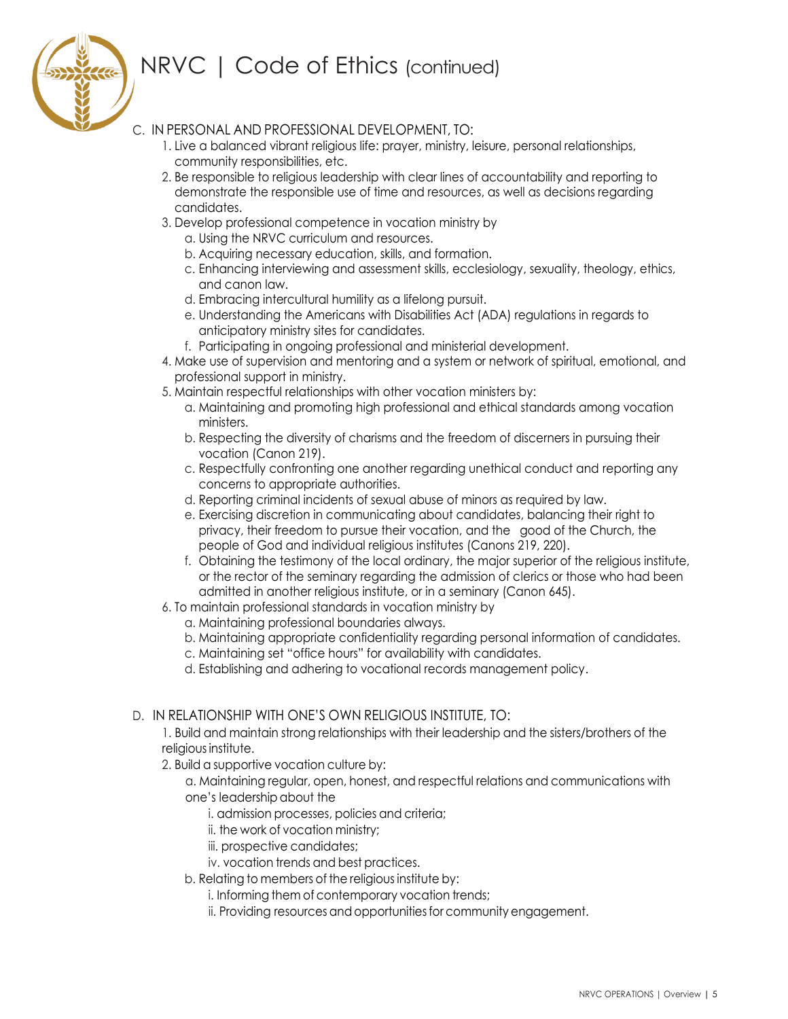

#### C. IN PERSONAL AND PROFESSIONAL DEVELOPMENT, TO:

- 1. Live a balanced vibrant religious life: prayer, ministry, leisure, personal relationships, community responsibilities, etc.
- 2. Be responsible to religious leadership with clear lines of accountability and reporting to demonstrate the responsible use of time and resources, as well as decisions regarding candidates.
- 3. Develop professional competence in vocation ministry by
	- a. Using the NRVC curriculum and resources.
	- b. Acquiring necessary education, skills, and formation.
	- c. Enhancing interviewing and assessment skills, ecclesiology, sexuality, theology, ethics, and canon law.
	- d. Embracing intercultural humility as a lifelong pursuit.
	- e. Understanding the Americans with Disabilities Act (ADA) regulations in regards to anticipatory ministry sites for candidates.
	- f. Participating in ongoing professional and ministerial development.
- 4. Make use of supervision and mentoring and a system or network of spiritual, emotional, and professional support in ministry.
- 5. Maintain respectful relationships with other vocation ministers by:
	- a. Maintaining and promoting high professional and ethical standards among vocation ministers.
	- b. Respecting the diversity of charisms and the freedom of discerners in pursuing their vocation (Canon 219).
	- c. Respectfully confronting one another regarding unethical conduct and reporting any concerns to appropriate authorities.
	- d. Reporting criminal incidents of sexual abuse of minors as required by law.
	- e. Exercising discretion in communicating about candidates, balancing their right to privacy, their freedom to pursue their vocation, and the good of the Church, the people of God and individual religious institutes (Canons 219, 220).
	- f. Obtaining the testimony of the local ordinary, the major superior of the religious institute, or the rector of the seminary regarding the admission of clerics or those who had been admitted in another religious institute, or in a seminary (Canon 645).
- 6. To maintain professional standards in vocation ministry by
	- a. Maintaining professional boundaries always.
	- b. Maintaining appropriate confidentiality regarding personal information of candidates.
	- c. Maintaining set "office hours" for availability with candidates.
	- d. Establishing and adhering to vocational records management policy.

#### D. IN RELATIONSHIP WITH ONE'S OWN RELIGIOUS INSTITUTE, TO:

1. Build and maintain strong relationships with their leadership and the sisters/brothers of the religious institute.

- 2. Build a supportive vocation culture by:
	- a. Maintaining regular, open, honest, and respectful relations and communications with one's leadership about the
		- i. admission processes, policies and criteria;
		- ii. the work of vocation ministry;
		- iii. prospective candidates;
		- iv. vocation trends and best practices.
	- b. Relating to members of the religious institute by:
		- i. Informing them of contemporary vocation trends;
		- ii. Providing resources and opportunities for community engagement.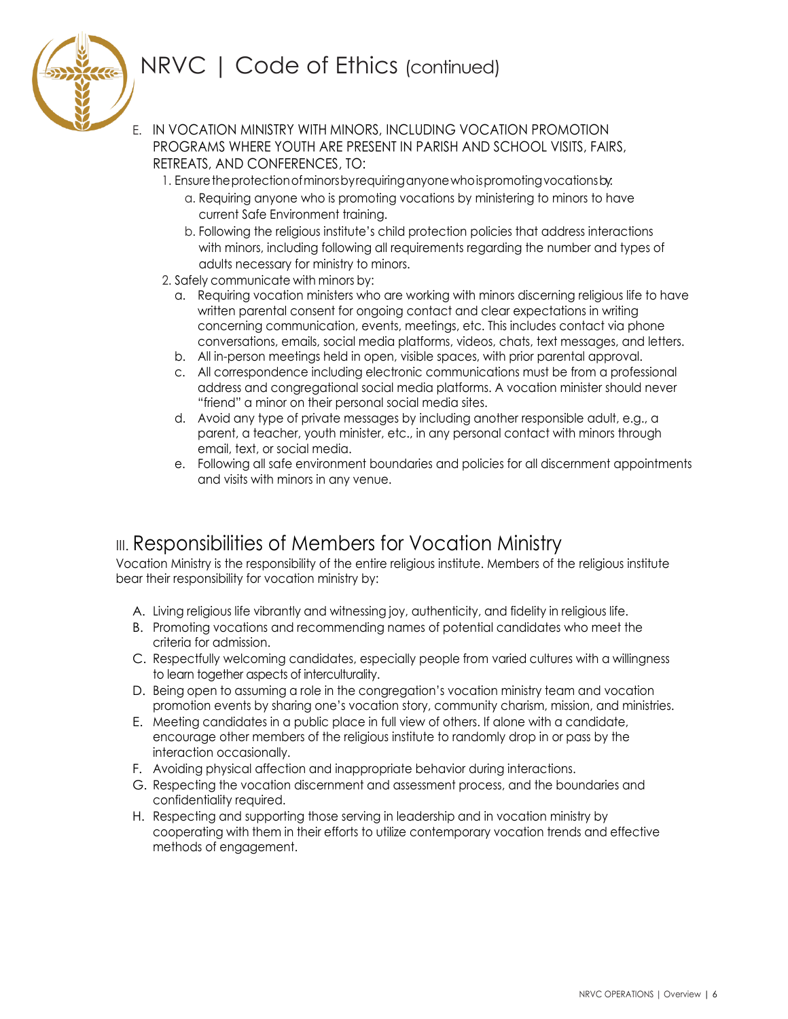

E. IN VOCATION MINISTRY WITH MINORS, INCLUDING VOCATION PROMOTION PROGRAMS WHERE YOUTH ARE PRESENT IN PARISH AND SCHOOL VISITS, FAIRS, RETREATS, AND CONFERENCES, TO:

- 1. Ensure the protection of minors by requiring anyone who is promoting vocations by.
	- a. Requiring anyone who is promoting vocations by ministering to minors to have current Safe Environment training.
	- b. Following the religious institute's child protection policies that address interactions with minors, including following all requirements regarding the number and types of adults necessary for ministry to minors.
- 2. Safely communicate with minors by:
	- a. Requiring vocation ministers who are working with minors discerning religious life to have written parental consent for ongoing contact and clear expectations in writing concerning communication, events, meetings, etc. This includes contact via phone conversations, emails, social media platforms, videos, chats, text messages, and letters.
	- b. All in-person meetings held in open, visible spaces, with prior parental approval.
	- c. All correspondence including electronic communications must be from a professional address and congregational social media platforms. A vocation minister should never "friend" a minor on their personal social media sites.
	- d. Avoid any type of private messages by including another responsible adult, e.g., a parent, a teacher, youth minister, etc., in any personal contact with minors through email, text, or social media.
	- e. Following all safe environment boundaries and policies for all discernment appointments and visits with minors in any venue.

### III. Responsibilities of Members for Vocation Ministry

Vocation Ministry is the responsibility of the entire religious institute. Members of the religious institute bear their responsibility for vocation ministry by:

- A. Living religious life vibrantly and witnessing joy, authenticity, and fidelity in religious life.
- B. Promoting vocations and recommending names of potential candidates who meet the criteria for admission.
- C. Respectfully welcoming candidates, especially people from varied cultures with a willingness to learn together aspects of interculturality.
- D. Being open to assuming a role in the congregation's vocation ministry team and vocation promotion events by sharing one's vocation story, community charism, mission, and ministries.
- E. Meeting candidates in a public place in full view of others. If alone with a candidate, encourage other members of the religious institute to randomly drop in or pass by the interaction occasionally.
- F. Avoiding physical affection and inappropriate behavior during interactions.
- G. Respecting the vocation discernment and assessment process, and the boundaries and confidentiality required.
- H. Respecting and supporting those serving in leadership and in vocation ministry by cooperating with them in their efforts to utilize contemporary vocation trends and effective methods of engagement.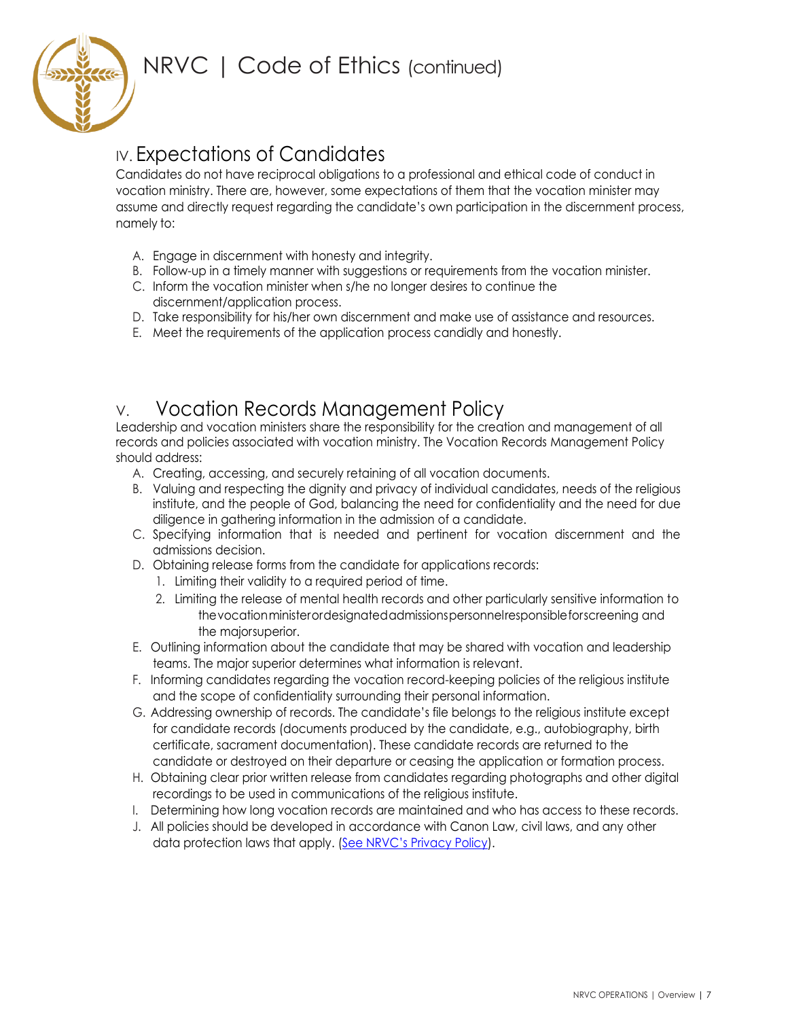

# IV. Expectations of Candidates

Candidates do not have reciprocal obligations to a professional and ethical code of conduct in vocation ministry. There are, however, some expectations of them that the vocation minister may assume and directly request regarding the candidate's own participation in the discernment process, namely to:

- A. Engage in discernment with honesty and integrity.
- B. Follow-up in a timely manner with suggestions or requirements from the vocation minister.
- C. Inform the vocation minister when s/he no longer desires to continue the discernment/application process.
- D. Take responsibility for his/her own discernment and make use of assistance and resources.
- E. Meet the requirements of the application process candidly and honestly.

### V. Vocation Records Management Policy

Leadership and vocation ministers share the responsibility for the creation and management of all records and policies associated with vocation ministry. The Vocation Records Management Policy should address:

- A. Creating, accessing, and securely retaining of all vocation documents.
- B. Valuing and respecting the dignity and privacy of individual candidates, needs of the religious institute, and the people of God, balancing the need for confidentiality and the need for due diligence in gathering information in the admission of a candidate.
- C. Specifying information that is needed and pertinent for vocation discernment and the admissions decision.
- D. Obtaining release forms from the candidate for applications records:
	- 1. Limiting their validity to a required period of time.
	- 2. Limiting the release of mental health records and other particularly sensitive information to thevocationministerordesignatedadmissionspersonnelresponsibleforscreening and the majorsuperior.
- E. Outlining information about the candidate that may be shared with vocation and leadership teams. The major superior determines what information is relevant.
- F. Informing candidates regarding the vocation record-keeping policies of the religious institute and the scope of confidentiality surrounding their personal information.
- G. Addressing ownership of records. The candidate's file belongs to the religious institute except for candidate records (documents produced by the candidate, e.g., autobiography, birth certificate, sacrament documentation). These candidate records are returned to the candidate or destroyed on their departure or ceasing the application or formation process.
- H. Obtaining clear prior written release from candidates regarding photographs and other digital recordings to be used in communications of the religious institute.
- I. Determining how long vocation records are maintained and who has access to these records.
- J. All policies should be developed in accordance with Canon Law, civil laws, and any other data protection laws that apply. ([See NRVC's Privacy Policy](https://nrvc.net/privacy_policy/current)).